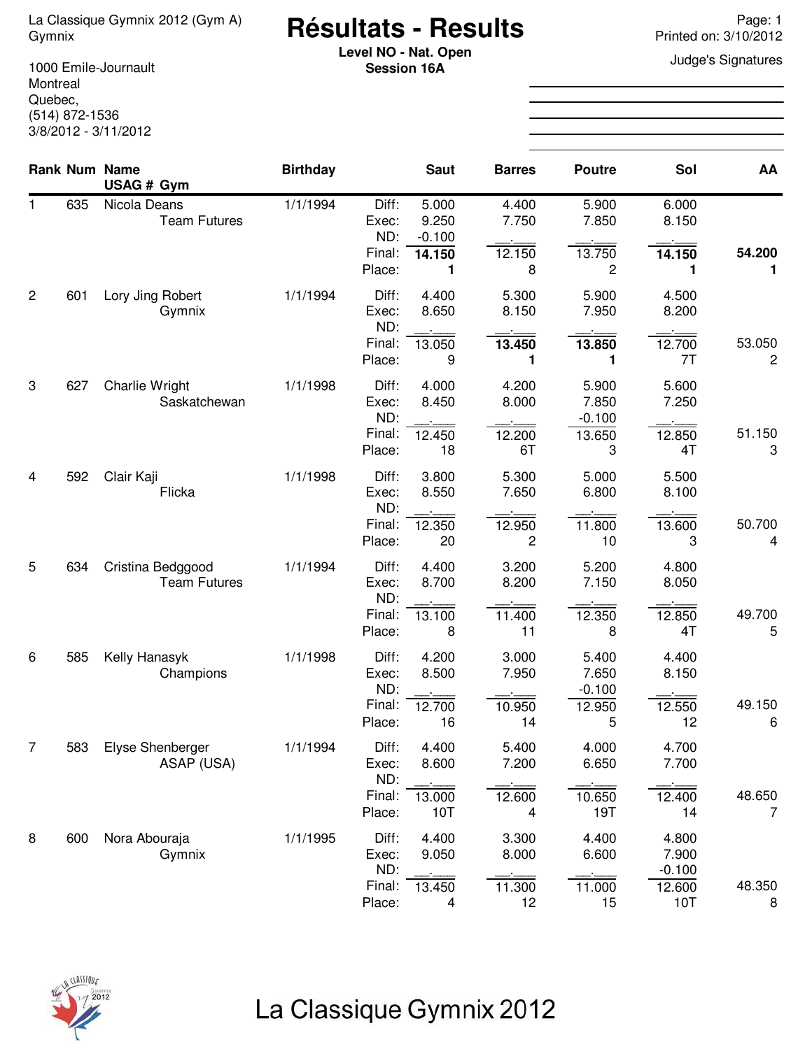# <sup>La Classique Gymnix 2012 (Gym A) **Résultats - Results** Page: 1<br>Printed on: 3/10/2012</sup>

**Level NO - Nat. Open**<br> **Consignation** 16A **Session 16A**

1000 Emile-Journault Montreal Quebec, (514) 872-1536 3/8/2012 - 3/11/2012

|                |     | Rank Num Name<br>USAG # Gym              | <b>Birthday</b> |                                 | <b>Saut</b>                          | <b>Barres</b>            | <b>Poutre</b>              | Sol                       | AA                       |
|----------------|-----|------------------------------------------|-----------------|---------------------------------|--------------------------------------|--------------------------|----------------------------|---------------------------|--------------------------|
| 1.             | 635 | Nicola Deans<br><b>Team Futures</b>      | 1/1/1994        | Diff:<br>Exec:<br>ND:<br>Final: | 5.000<br>9.250<br>$-0.100$<br>14.150 | 4.400<br>7.750<br>12.150 | 5.900<br>7.850<br>13.750   | 6.000<br>8.150<br>14.150  | 54.200                   |
|                |     |                                          |                 | Place:                          | 1                                    | 8                        | 2                          | 1                         | 1                        |
| $\overline{2}$ | 601 | Lory Jing Robert<br>Gymnix               | 1/1/1994        | Diff:<br>Exec:<br>ND:           | 4.400<br>8.650                       | 5.300<br>8.150           | 5.900<br>7.950             | 4.500<br>8.200            |                          |
|                |     |                                          |                 | Final:<br>Place:                | 13.050<br>9                          | 13.450<br>1              | 13.850<br>1                | 12.700<br>7T              | 53.050<br>$\overline{c}$ |
| 3              | 627 | Charlie Wright<br>Saskatchewan           | 1/1/1998        | Diff:<br>Exec:<br>ND:           | 4.000<br>8.450                       | 4.200<br>8.000           | 5.900<br>7.850<br>$-0.100$ | 5.600<br>7.250            |                          |
|                |     |                                          |                 | Final:<br>Place:                | 12.450<br>18                         | 12.200<br>6T             | 13.650<br>3                | 12.850<br>4T              | 51.150<br>3              |
| 4              | 592 | Clair Kaji<br>Flicka                     | 1/1/1998        | Diff:<br>Exec:<br>ND:           | 3.800<br>8.550                       | 5.300<br>7.650           | 5.000<br>6.800             | 5.500<br>8.100            |                          |
|                |     |                                          |                 | Final:<br>Place:                | 12.350<br>20                         | 12.950<br>$\overline{c}$ | 11.800<br>10               | 13.600<br>3               | 50.700<br>4              |
| 5              | 634 | Cristina Bedggood<br><b>Team Futures</b> | 1/1/1994        | Diff:<br>Exec:<br>ND:           | 4.400<br>8.700                       | 3.200<br>8.200           | 5.200<br>7.150             | 4.800<br>8.050            |                          |
|                |     |                                          |                 | Final:<br>Place:                | 13.100<br>8                          | 11.400<br>11             | 12.350<br>8                | 12.850<br>4T              | 49.700<br>5              |
| 6              | 585 | Kelly Hanasyk<br>Champions               | 1/1/1998        | Diff:<br>Exec:                  | 4.200<br>8.500                       | 3.000<br>7.950           | 5.400<br>7.650             | 4.400<br>8.150            |                          |
|                |     |                                          |                 | ND:<br>Final:<br>Place:         | 12.700<br>16                         | 10.950<br>14             | $-0.100$<br>12.950<br>5    | 12.550<br>12              | 49.150<br>6              |
| $\overline{7}$ | 583 | Elyse Shenberger<br>ASAP (USA)           | 1/1/1994        | Diff:<br>Exec:                  | 4.400<br>8.600                       | 5.400<br>7.200           | 4.000<br>6.650             | 4.700<br>7.700            |                          |
|                |     |                                          |                 | ND:<br>Final:<br>Place:         | 13.000<br>10T                        | 12.600<br>4              | 10.650<br>19T              | 12.400<br>14              | 48.650<br>7              |
| 8              | 600 | Nora Abouraja<br>Gymnix                  | 1/1/1995        | Diff:<br>Exec:<br>ND:           | 4.400<br>9.050                       | 3.300<br>8.000           | 4.400<br>6.600             | 4.800<br>7.900            |                          |
|                |     |                                          |                 | Final:<br>Place:                | 13.450<br>4                          | 11.300<br>12             | 11.000<br>15               | $-0.100$<br>12.600<br>10T | 48.350<br>8              |

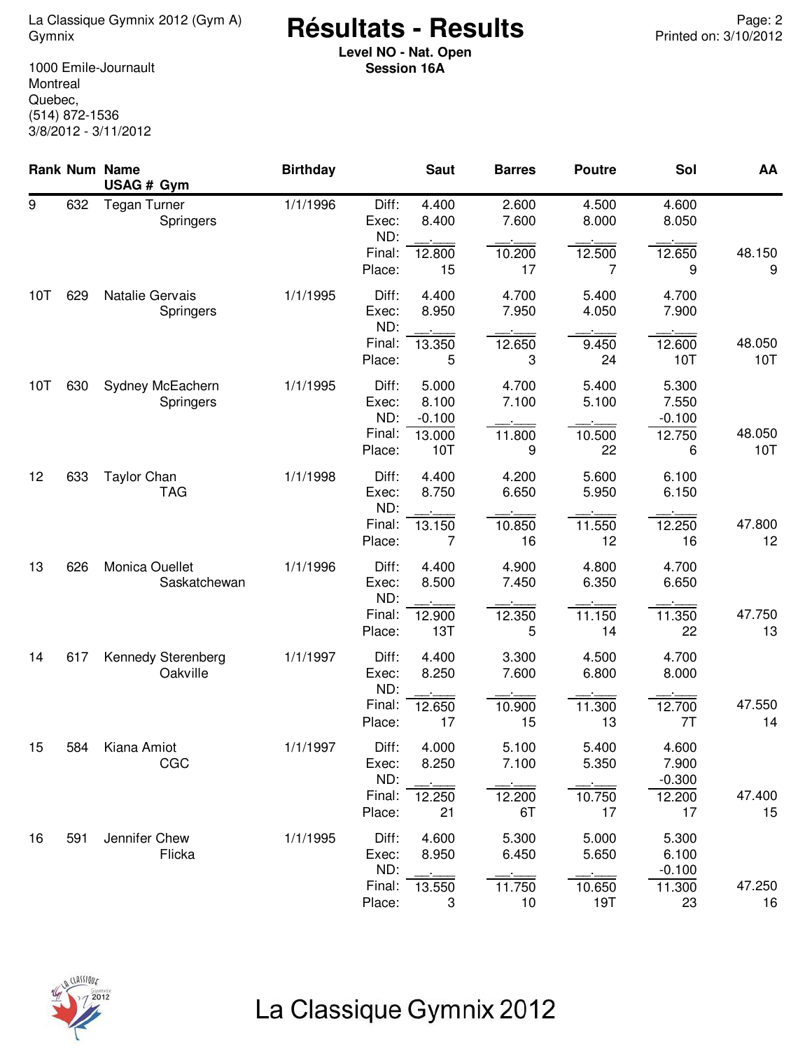<sup>2</sup> <sup>Page: 2</sup> Résultats - Results<br>2/10/2012 Printed on: 3/10/2012

**Level NO - Nat. Open Session 16A**

1000 Emile-Journault **Montreal** Quebec, (514) 872-1536 3/8/2012 - 3/11/2012

|     |     | Rank Num Name<br>USAG # Gym         | <b>Birthday</b> |                                 | <b>Saut</b>                          | <b>Barres</b>            | <b>Poutre</b>            | Sol                                  | AA            |
|-----|-----|-------------------------------------|-----------------|---------------------------------|--------------------------------------|--------------------------|--------------------------|--------------------------------------|---------------|
| 9   | 632 | <b>Tegan Turner</b><br>Springers    | 1/1/1996        | Diff:<br>Exec:<br>ND:           | 4.400<br>8.400                       | 2.600<br>7.600           | 4.500<br>8.000           | 4.600<br>8.050                       |               |
|     |     |                                     |                 | Final:<br>Place:                | 12.800<br>15                         | 10.200<br>17             | 12.500<br>7              | 12.650<br>9                          | 48.150<br>9   |
| 10T | 629 | Natalie Gervais<br><b>Springers</b> | 1/1/1995        | Diff:<br>Exec:<br>ND:           | 4.400<br>8.950                       | 4.700<br>7.950           | 5.400<br>4.050           | 4.700<br>7.900                       |               |
|     |     |                                     |                 | Final:<br>Place:                | 13.350<br>5                          | 12.650<br>3              | 9.450<br>24              | 12.600<br>10T                        | 48.050<br>10T |
| 10T | 630 | Sydney McEachern<br>Springers       | 1/1/1995        | Diff:<br>Exec:<br>ND:<br>Final: | 5.000<br>8.100<br>$-0.100$<br>13.000 | 4.700<br>7.100<br>11.800 | 5.400<br>5.100<br>10.500 | 5.300<br>7.550<br>$-0.100$<br>12.750 | 48.050        |
|     |     |                                     |                 | Place:                          | 10T                                  | 9                        | 22                       | 6                                    | 10T           |
| 12  | 633 | <b>Taylor Chan</b><br><b>TAG</b>    | 1/1/1998        | Diff:<br>Exec:<br>ND:           | 4.400<br>8.750                       | 4.200<br>6.650           | 5.600<br>5.950           | 6.100<br>6.150                       |               |
|     |     |                                     |                 | Final:<br>Place:                | 13.150<br>7                          | 10.850<br>16             | 11.550<br>12             | 12.250<br>16                         | 47.800<br>12  |
| 13  | 626 | Monica Ouellet<br>Saskatchewan      | 1/1/1996        | Diff:<br>Exec:<br>ND:           | 4.400<br>8.500                       | 4.900<br>7.450           | 4.800<br>6.350           | 4.700<br>6.650                       |               |
|     |     |                                     |                 | Final:<br>Place:                | 12.900<br>13T                        | 12.350<br>5              | 11.150<br>14             | 11.350<br>22                         | 47.750<br>13  |
| 14  | 617 | Kennedy Sterenberg<br>Oakville      | 1/1/1997        | Diff:<br>Exec:<br>ND:           | 4.400<br>8.250                       | 3.300<br>7.600           | 4.500<br>6.800           | 4.700<br>8.000                       |               |
|     |     |                                     |                 | Final:<br>Place:                | 12.650<br>17                         | 10.900<br>15             | 11.300<br>13             | 12.700<br>7T                         | 47.550<br>14  |
| 15  | 584 | Kiana Amiot<br>CGC                  | 1/1/1997        | Diff:<br>Exec:<br>ND:           | 4.000<br>8.250                       | 5.100<br>7.100           | 5.400<br>5.350           | 4.600<br>7.900<br>$-0.300$           |               |
|     |     |                                     |                 | Final:<br>Place:                | 12.250<br>21                         | 12.200<br>6T             | 10.750<br>17             | 12.200<br>17                         | 47.400<br>15  |
| 16  | 591 | Jennifer Chew<br>Flicka             | 1/1/1995        | Diff:<br>Exec:<br>ND:           | 4.600<br>8.950                       | 5.300<br>6.450           | 5.000<br>5.650           | 5.300<br>6.100<br>$-0.100$           |               |
|     |     |                                     |                 | Final:<br>Place:                | 13.550<br>3                          | 11.750<br>10             | 10.650<br>19T            | 11.300<br>23                         | 47.250<br>16  |

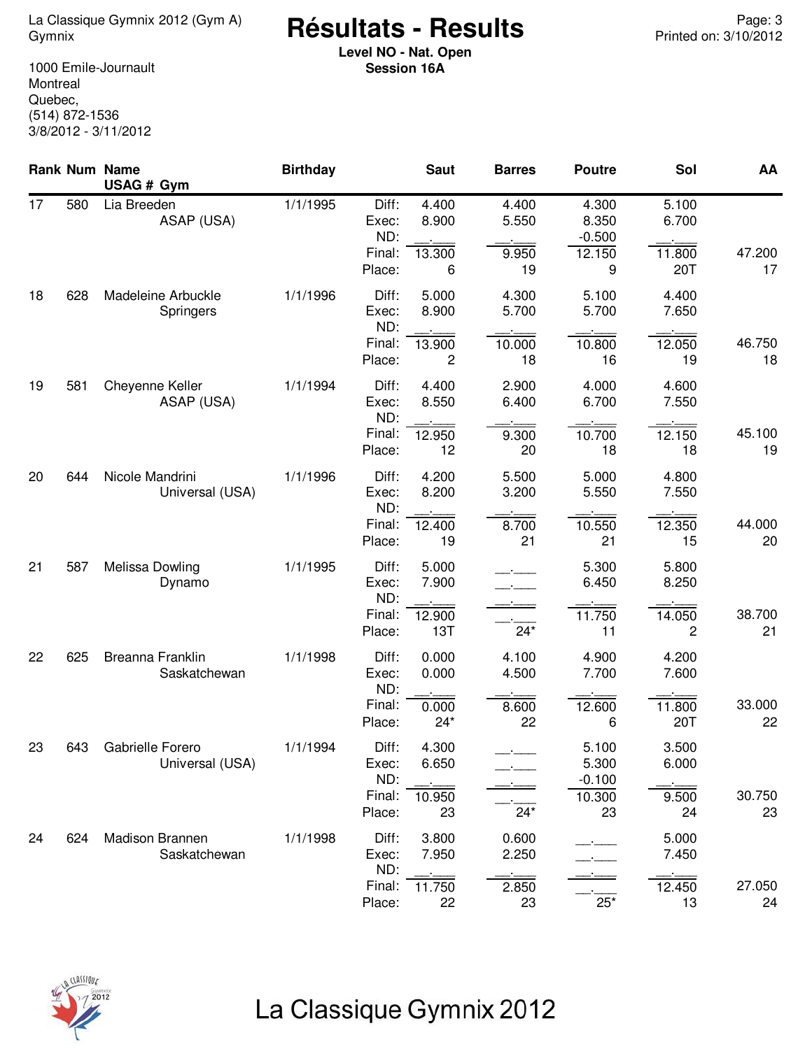<sup>2</sup> <sup>Page: 3</sup> La Classique Gymnix 2012 (Gym A) **Page: 3 Résultats - Results** Printed on: 3/10/2012

**Level NO - Nat. Open Session 16A**

1000 Emile-Journault **Montreal** Quebec, (514) 872-1536 3/8/2012 - 3/11/2012

|    |     | Rank Num Name<br>USAG # Gym            | <b>Birthday</b> |                                 | <b>Saut</b>              | <b>Barres</b>            | <b>Poutre</b>                        | Sol                      | AA           |
|----|-----|----------------------------------------|-----------------|---------------------------------|--------------------------|--------------------------|--------------------------------------|--------------------------|--------------|
| 17 | 580 | Lia Breeden<br>ASAP (USA)              | 1/1/1995        | Diff:<br>Exec:<br>ND:<br>Final: | 4.400<br>8.900<br>13.300 | 4.400<br>5.550<br>9.950  | 4.300<br>8.350<br>$-0.500$<br>12.150 | 5.100<br>6.700<br>11.800 | 47.200       |
|    |     |                                        |                 | Place:                          | 6                        | 19                       | 9                                    | 20T                      | 17           |
| 18 | 628 | Madeleine Arbuckle<br><b>Springers</b> | 1/1/1996        | Diff:<br>Exec:<br>ND:           | 5.000<br>8.900           | 4.300<br>5.700           | 5.100<br>5.700                       | 4.400<br>7.650           |              |
|    |     |                                        |                 | Final:<br>Place:                | 13.900<br>2              | 10.000<br>18             | 10.800<br>16                         | 12.050<br>19             | 46.750<br>18 |
| 19 | 581 | Cheyenne Keller<br>ASAP (USA)          | 1/1/1994        | Diff:<br>Exec:<br>ND:           | 4.400<br>8.550           | 2.900<br>6.400           | 4.000<br>6.700                       | 4.600<br>7.550           |              |
|    |     |                                        |                 | Final:<br>Place:                | 12.950<br>12             | 9.300<br>20              | 10.700<br>18                         | 12.150<br>18             | 45.100<br>19 |
| 20 | 644 | Nicole Mandrini<br>Universal (USA)     | 1/1/1996        | Diff:<br>Exec:<br>ND:           | 4.200<br>8.200           | 5.500<br>3.200           | 5.000<br>5.550                       | 4.800<br>7.550           |              |
|    |     |                                        |                 | Final:<br>Place:                | 12.400<br>19             | 8.700<br>21              | 10.550<br>21                         | 12.350<br>15             | 44.000<br>20 |
| 21 | 587 | Melissa Dowling<br>Dynamo              | 1/1/1995        | Diff:<br>Exec:<br>ND:           | 5.000<br>7.900           | $\overline{\phantom{a}}$ | 5.300<br>6.450                       | 5.800<br>8.250           |              |
|    |     |                                        |                 | Final:<br>Place:                | 12.900<br>13T            | $24*$                    | 11.750<br>11                         | 14.050<br>2              | 38.700<br>21 |
| 22 | 625 | Breanna Franklin<br>Saskatchewan       | 1/1/1998        | Diff:<br>Exec:<br>ND:           | 0.000<br>0.000           | 4.100<br>4.500           | 4.900<br>7.700                       | 4.200<br>7.600           |              |
|    |     |                                        |                 | Final:<br>Place:                | 0.000<br>$24*$           | 8.600<br>22              | 12.600<br>6                          | 11.800<br>20T            | 33.000<br>22 |
| 23 | 643 | Gabrielle Forero<br>Universal (USA)    | 1/1/1994        | Diff:<br>Exec:<br>ND:           | 4.300<br>6.650           |                          | 5.100<br>5.300<br>$-0.100$           | 3.500<br>6.000           |              |
|    |     |                                        |                 | Final:<br>Place:                | 10.950<br>23             | $24*$                    | 10.300<br>23                         | 9.500<br>24              | 30.750<br>23 |
| 24 | 624 | Madison Brannen<br>Saskatchewan        | 1/1/1998        | Diff:<br>Exec:<br>ND:           | 3.800<br>7.950           | 0.600<br>2.250           |                                      | 5.000<br>7.450           |              |
|    |     |                                        |                 | Final:<br>Place:                | 11.750<br>22             | 2.850<br>23              | $25*$                                | 12.450<br>13             | 27.050<br>24 |